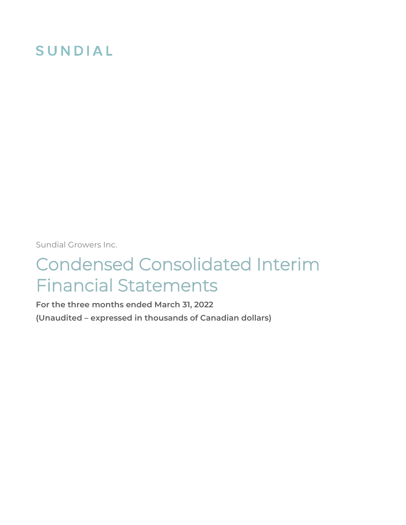# SUNDIAL

Sundial Growers Inc.

# Condensed Consolidated Interim Financial Statements

**For the three months ended March 31, 2022 (Unaudited – expressed in thousands of Canadian dollars)**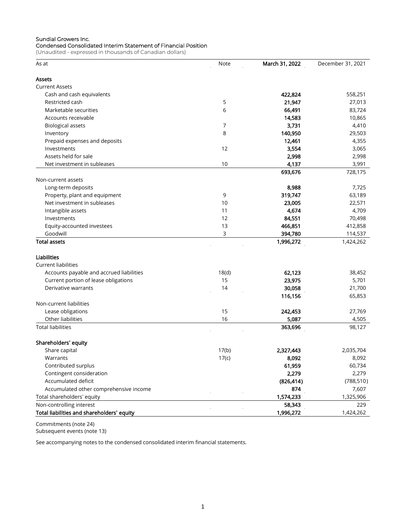#### Sundial Growers Inc. Condensed Consolidated Interim Statement of Financial Position

(Unaudited - expressed in thousands of Canadian dollars)

| As at                                      | Note  | March 31, 2022 | December 31, 2021 |
|--------------------------------------------|-------|----------------|-------------------|
| Assets                                     |       |                |                   |
| <b>Current Assets</b>                      |       |                |                   |
| Cash and cash equivalents                  |       | 422,824        | 558,251           |
| Restricted cash                            | 5     | 21,947         | 27,013            |
| Marketable securities                      | 6     | 66,491         | 83,724            |
| Accounts receivable                        |       | 14,583         | 10,865            |
| <b>Biological assets</b>                   | 7     | 3,731          | 4,410             |
| Inventory                                  | 8     | 140,950        | 29,503            |
| Prepaid expenses and deposits              |       | 12,461         | 4,355             |
| Investments                                | 12    | 3,554          | 3,065             |
| Assets held for sale                       |       | 2,998          | 2,998             |
| Net investment in subleases                | 10    | 4,137          | 3,991             |
|                                            |       | 693,676        | 728,175           |
| Non-current assets                         |       |                |                   |
| Long-term deposits                         |       | 8,988          | 7,725             |
| Property, plant and equipment              | 9     | 319,747        | 63,189            |
| Net investment in subleases                | 10    | 23,005         | 22,571            |
| Intangible assets                          | 11    | 4,674          | 4,709             |
| Investments                                | 12    | 84,551         | 70,498            |
|                                            | 13    |                | 412,858           |
| Equity-accounted investees<br>Goodwill     |       | 466,851        |                   |
| <b>Total assets</b>                        | 3     | 394,780        | 114,537           |
|                                            |       | 1,996,272      | 1,424,262         |
| Liabilities                                |       |                |                   |
| <b>Current liabilities</b>                 |       |                |                   |
| Accounts payable and accrued liabilities   | 18(d) | 62,123         | 38,452            |
| Current portion of lease obligations       | 15    | 23,975         | 5,701             |
| Derivative warrants                        | 14    | 30,058         | 21,700            |
|                                            |       | 116,156        | 65,853            |
| Non-current liabilities                    |       |                |                   |
| Lease obligations                          | 15    | 242,453        | 27,769            |
| Other liabilities                          | 16    | 5,087          | 4,505             |
| <b>Total liabilities</b>                   |       | 363,696        | 98,127            |
| Shareholders' equity                       |       |                |                   |
| Share capital                              | 17(b) | 2,327,443      | 2,035,704         |
| Warrants                                   | 17(c) | 8,092          | 8,092             |
| Contributed surplus                        |       | 61,959         | 60,734            |
| Contingent consideration                   |       | 2,279          | 2,279             |
| Accumulated deficit                        |       | (826, 414)     | (788, 510)        |
| Accumulated other comprehensive income     |       | 874            | 7,607             |
| Total shareholders' equity                 |       | 1,574,233      | 1,325,906         |
| Non-controlling interest                   |       | 58,343         | 229               |
|                                            |       |                |                   |
| Total liabilities and shareholders' equity |       | 1,996,272      | 1,424,262         |

Commitments (note 24) Subsequent events (note 13)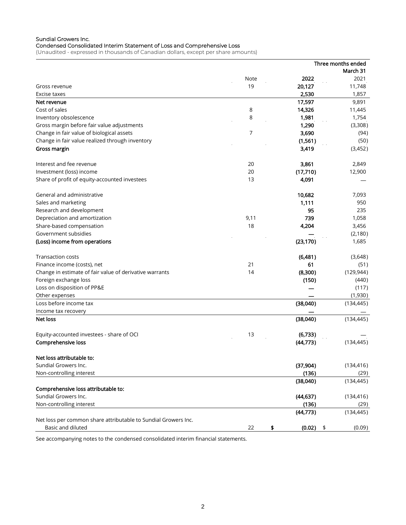#### Sundial Growers Inc. Condensed Consolidated Interim Statement of Loss and Comprehensive Loss

(Unaudited - expressed in thousands of Canadian dollars, except per share amounts)

|                                                                |             |              | Three months ended |
|----------------------------------------------------------------|-------------|--------------|--------------------|
|                                                                |             |              | March 31           |
|                                                                | <b>Note</b> | 2022         | 2021               |
| Gross revenue                                                  | 19          | 20,127       | 11,748             |
| Excise taxes                                                   |             | 2,530        | 1,857              |
| Net revenue                                                    |             | 17,597       | 9,891              |
| Cost of sales                                                  | 8           | 14,326       | 11,445             |
| Inventory obsolescence                                         | 8           | 1,981        | 1,754              |
| Gross margin before fair value adjustments                     |             | 1,290        | (3,308)            |
| Change in fair value of biological assets                      | 7           | 3,690        | (94)               |
| Change in fair value realized through inventory                |             | (1,561)      | (50)               |
| Gross margin                                                   |             | 3,419        | (3,452)            |
| Interest and fee revenue                                       | 20          | 3,861        | 2,849              |
| Investment (loss) income                                       | 20          | (17,710)     | 12,900             |
| Share of profit of equity-accounted investees                  | 13          | 4,091        |                    |
| General and administrative                                     |             | 10,682       | 7,093              |
| Sales and marketing                                            |             | 1,111        | 950                |
| Research and development                                       |             | 95           | 235                |
| Depreciation and amortization                                  | 9,11        | 739          | 1,058              |
| Share-based compensation                                       | 18          | 4,204        | 3,456              |
| Government subsidies                                           |             |              | (2, 180)           |
| (Loss) income from operations                                  |             | (23, 170)    | 1,685              |
| <b>Transaction costs</b>                                       |             | (6,481)      | (3,648)            |
| Finance income (costs), net                                    | 21          | 61           | (51)               |
| Change in estimate of fair value of derivative warrants        | 14          | (8,300)      | (129, 944)         |
| Foreign exchange loss                                          |             | (150)        | (440)              |
| Loss on disposition of PP&E                                    |             |              | (117)              |
| Other expenses                                                 |             |              | (1,930)            |
| Loss before income tax                                         |             | (38,040)     | (134, 445)         |
| Income tax recovery                                            |             |              |                    |
| Net loss                                                       |             | (38,040)     | (134, 445)         |
| Equity-accounted investees - share of OCI                      | 13          | (6,733)      |                    |
| Comprehensive loss                                             |             | (44, 773)    | (134, 445)         |
| Net loss attributable to:                                      |             |              |                    |
| Sundial Growers Inc.                                           |             | (37,904)     | (134, 416)         |
| Non-controlling interest                                       |             | (136)        | (29)               |
|                                                                |             | (38,040)     | (134, 445)         |
| Comprehensive loss attributable to:                            |             |              |                    |
| Sundial Growers Inc.                                           |             | (44, 637)    | (134, 416)         |
| Non-controlling interest                                       |             | (136)        | (29)               |
|                                                                |             | (44, 773)    | (134, 445)         |
| Net loss per common share attributable to Sundial Growers Inc. |             |              |                    |
| Basic and diluted                                              | 22          | \$<br>(0.02) | (0.09)<br>\$       |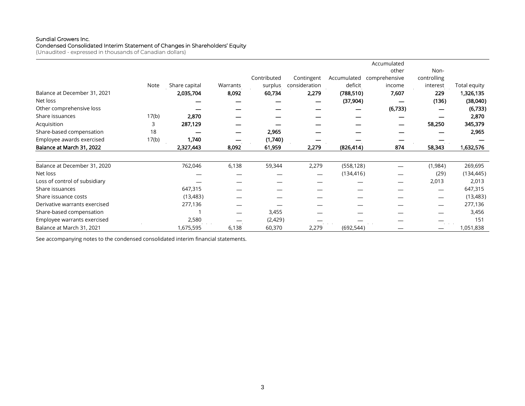#### Sundial Growers Inc.

#### Condensed Consolidated Interim Statement of Changes in Shareholders' Equity

(Unaudited - expressed in thousands of Canadian dollars)

|                               |       |               |          |             |               |             | Accumulated   |             |              |
|-------------------------------|-------|---------------|----------|-------------|---------------|-------------|---------------|-------------|--------------|
|                               |       |               |          |             |               |             | other         | Non-        |              |
|                               |       |               |          | Contributed | Contingent    | Accumulated | comprehensive | controlling |              |
|                               | Note  | Share capital | Warrants | surplus     | consideration | deficit     | income        | interest    | Total equity |
| Balance at December 31, 2021  |       | 2,035,704     | 8,092    | 60,734      | 2,279         | (788, 510)  | 7,607         | 229         | 1,326,135    |
| Net loss                      |       |               |          |             |               | (37, 904)   |               | (136)       | (38,040)     |
| Other comprehensive loss      |       |               |          |             |               |             | (6,733)       |             | (6, 733)     |
| Share issuances               | 17(b) | 2,870         |          |             |               |             |               |             | 2,870        |
| Acquisition                   | 3     | 287,129       |          |             |               |             |               | 58,250      | 345,379      |
| Share-based compensation      | 18    |               |          | 2,965       |               |             |               |             | 2,965        |
| Employee awards exercised     | 17(b) | 1,740         |          | (1,740)     |               |             |               |             |              |
| Balance at March 31, 2022     |       | 2,327,443     | 8,092    | 61,959      | 2,279         | (826, 414)  | 874           | 58,343      | 1,632,576    |
| Balance at December 31, 2020  |       | 762,046       | 6,138    | 59,344      | 2,279         | (558, 128)  |               | (1,984)     | 269,695      |
| Net loss                      |       |               |          |             |               | (134, 416)  |               | (29)        | (134, 445)   |
| Loss of control of subsidiary |       |               |          |             |               |             |               | 2,013       | 2,013        |
| Share issuances               |       | 647,315       |          |             |               |             |               |             | 647,315      |
| Share issuance costs          |       | (13, 483)     |          |             |               |             |               |             | (13, 483)    |
| Derivative warrants exercised |       | 277,136       |          |             |               |             |               |             | 277,136      |
| Share-based compensation      |       |               |          | 3,455       |               |             |               |             | 3,456        |
| Employee warrants exercised   |       | 2,580         |          | (2,429)     |               |             |               |             | 151          |
| Balance at March 31, 2021     |       | 1,675,595     | 6,138    | 60,370      | 2,279         | (692, 544)  |               |             | 1,051,838    |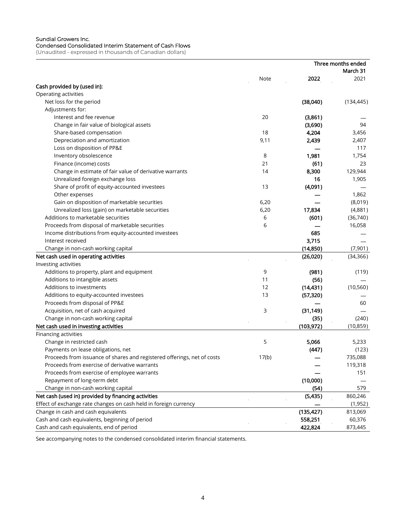#### Sundial Growers Inc.

Condensed Consolidated Interim Statement of Cash Flows (Unaudited - expressed in thousands of Canadian dollars)

|                                                                         |             |            | Three months ended |
|-------------------------------------------------------------------------|-------------|------------|--------------------|
|                                                                         |             |            | March 31           |
|                                                                         | <b>Note</b> | 2022       | 2021               |
| Cash provided by (used in):                                             |             |            |                    |
| Operating activities                                                    |             |            |                    |
| Net loss for the period                                                 |             | (38,040)   | (134, 445)         |
| Adjustments for:                                                        |             |            |                    |
| Interest and fee revenue                                                | 20          | (3,861)    |                    |
| Change in fair value of biological assets                               |             | (3,690)    | 94                 |
| Share-based compensation                                                | 18          | 4,204      | 3,456              |
| Depreciation and amortization                                           | 9,11        | 2,439      | 2,407              |
| Loss on disposition of PP&E                                             |             |            | 117                |
| Inventory obsolescence                                                  | 8           | 1,981      | 1,754              |
| Finance (income) costs                                                  | 21          | (61)       | 23                 |
| Change in estimate of fair value of derivative warrants                 | 14          | 8,300      | 129,944            |
| Unrealized foreign exchange loss                                        |             | 16         | 1,905              |
| Share of profit of equity-accounted investees                           | 13          | (4,091)    |                    |
| Other expenses                                                          |             |            | 1,862              |
| Gain on disposition of marketable securities                            | 6,20        |            | (8,019)            |
| Unrealized loss (gain) on marketable securities                         | 6,20        | 17,834     | (4,881)            |
| Additions to marketable securities                                      | 6           | (601)      | (36,740)           |
| Proceeds from disposal of marketable securities                         | 6           |            | 16,058             |
| Income distributions from equity-accounted investees                    |             | 685        |                    |
| Interest received                                                       |             | 3,715      |                    |
| Change in non-cash working capital                                      |             | (14, 850)  | (7,901)            |
| Net cash used in operating activities                                   |             | (26,020)   | (34, 366)          |
| Investing activities                                                    |             |            |                    |
| Additions to property, plant and equipment                              | 9           | (981)      | (119)              |
| Additions to intangible assets                                          | 11          | (56)       |                    |
| Additions to investments                                                | 12          | (14, 431)  | (10, 560)          |
| Additions to equity-accounted investees                                 | 13          | (57, 320)  |                    |
| Proceeds from disposal of PP&E                                          |             |            | 60                 |
| Acquisition, net of cash acquired                                       | 3           | (31, 149)  |                    |
| Change in non-cash working capital                                      |             | (35)       | (240)              |
| Net cash used in investing activities                                   |             | (103, 972) | (10, 859)          |
| Financing activities                                                    |             |            |                    |
| Change in restricted cash                                               | 5           | 5.066      | 5,233              |
| Payments on lease obligations, net                                      |             | (447)      | (123)              |
| Proceeds from issuance of shares and registered offerings, net of costs | 17(b)       |            | 735,088            |
| Proceeds from exercise of derivative warrants                           |             |            | 119,318            |
| Proceeds from exercise of employee warrants                             |             |            | 151                |
| Repayment of long-term debt                                             |             | (10,000)   |                    |
|                                                                         |             |            |                    |
| Change in non-cash working capital                                      |             | (54)       | 579                |
| Net cash (used in) provided by financing activities                     |             | (5, 435)   | 860,246            |
| Effect of exchange rate changes on cash held in foreign currency        |             |            | (1,952)            |
| Change in cash and cash equivalents                                     |             | (135, 427) | 813,069            |
| Cash and cash equivalents, beginning of period                          |             | 558,251    | 60,376             |
| Cash and cash equivalents, end of period                                |             | 422,824    | 873,445            |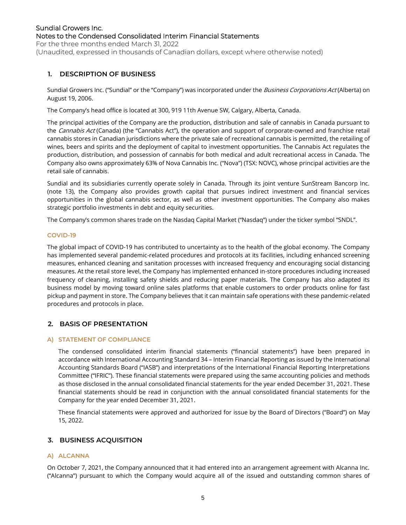For the three months ended March 31, 2022 (Unaudited, expressed in thousands of Canadian dollars, except where otherwise noted)

## **1. DESCRIPTION OF BUSINESS**

Sundial Growers Inc. ("Sundial" or the "Company") was incorporated under the *Business Corporations Act* (Alberta) on August 19, 2006.

The Company's head office is located at 300, 919 11th Avenue SW, Calgary, Alberta, Canada.

The principal activities of the Company are the production, distribution and sale of cannabis in Canada pursuant to the Cannabis Act (Canada) (the "Cannabis Act"), the operation and support of corporate-owned and franchise retail cannabis stores in Canadian jurisdictions where the private sale of recreational cannabis is permitted, the retailing of wines, beers and spirits and the deployment of capital to investment opportunities. The Cannabis Act regulates the production, distribution, and possession of cannabis for both medical and adult recreational access in Canada. The Company also owns approximately 63% of Nova Cannabis Inc. ("Nova") (TSX: NOVC), whose principal activities are the retail sale of cannabis.

Sundial and its subsidiaries currently operate solely in Canada. Through its joint venture SunStream Bancorp Inc. (note 13), the Company also provides growth capital that pursues indirect investment and financial services opportunities in the global cannabis sector, as well as other investment opportunities. The Company also makes strategic portfolio investments in debt and equity securities.

The Company's common shares trade on the Nasdaq Capital Market ("Nasdaq") under the ticker symbol "SNDL".

## **COVID-19**

The global impact of COVID-19 has contributed to uncertainty as to the health of the global economy. The Company has implemented several pandemic-related procedures and protocols at its facilities, including enhanced screening measures, enhanced cleaning and sanitation processes with increased frequency and encouraging social distancing measures. At the retail store level, the Company has implemented enhanced in-store procedures including increased frequency of cleaning, installing safety shields and reducing paper materials. The Company has also adapted its business model by moving toward online sales platforms that enable customers to order products online for fast pickup and payment in store. The Company believes that it can maintain safe operations with these pandemic-related procedures and protocols in place.

## **2. BASIS OF PRESENTATION**

## **A) STATEMENT OF COMPLIANCE**

The condensed consolidated interim financial statements ("financial statements") have been prepared in accordance with International Accounting Standard 34 – Interim Financial Reporting as issued by the International Accounting Standards Board ("IASB") and interpretations of the International Financial Reporting Interpretations Committee ("IFRIC"). These financial statements were prepared using the same accounting policies and methods as those disclosed in the annual consolidated financial statements for the year ended December 31, 2021. These financial statements should be read in conjunction with the annual consolidated financial statements for the Company for the year ended December 31, 2021.

These financial statements were approved and authorized for issue by the Board of Directors ("Board") on May 15, 2022.

## **3. BUSINESS ACQUISITION**

#### **A) ALCANNA**

On October 7, 2021, the Company announced that it had entered into an arrangement agreement with Alcanna Inc. ("Alcanna") pursuant to which the Company would acquire all of the issued and outstanding common shares of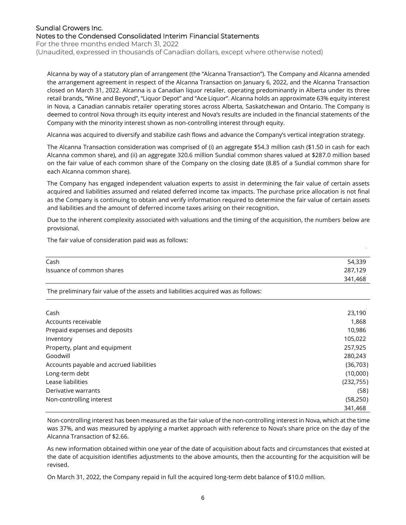For the three months ended March 31, 2022

(Unaudited, expressed in thousands of Canadian dollars, except where otherwise noted)

Alcanna by way of a statutory plan of arrangement (the "Alcanna Transaction"). The Company and Alcanna amended the arrangement agreement in respect of the Alcanna Transaction on January 6, 2022, and the Alcanna Transaction closed on March 31, 2022. Alcanna is a Canadian liquor retailer, operating predominantly in Alberta under its three retail brands, "Wine and Beyond", "Liquor Depot" and "Ace Liquor". Alcanna holds an approximate 63% equity interest in Nova, a Canadian cannabis retailer operating stores across Alberta, Saskatchewan and Ontario. The Company is deemed to control Nova through its equity interest and Nova's results are included in the financial statements of the Company with the minority interest shown as non-controlling interest through equity.

Alcanna was acquired to diversify and stabilize cash flows and advance the Company's vertical integration strategy.

The Alcanna Transaction consideration was comprised of (i) an aggregate \$54.3 million cash (\$1.50 in cash for each Alcanna common share), and (ii) an aggregate 320.6 million Sundial common shares valued at \$287.0 million based on the fair value of each common share of the Company on the closing date (8.85 of a Sundial common share for each Alcanna common share).

The Company has engaged independent valuation experts to assist in determining the fair value of certain assets acquired and liabilities assumed and related deferred income tax impacts. The purchase price allocation is not final as the Company is continuing to obtain and verify information required to determine the fair value of certain assets and liabilities and the amount of deferred income taxes arising on their recognition.

Due to the inherent complexity associated with valuations and the timing of the acquisition, the numbers below are provisional.

The fair value of consideration paid was as follows:

| Cash                      | $\sim 10^{-11}$ eV<br>54,339        |
|---------------------------|-------------------------------------|
| Issuance of common shares | 287,129<br><b>Contract Contract</b> |
|                           | 341,468                             |

The preliminary fair value of the assets and liabilities acquired was as follows:

|                                          | $\Delta \phi = 0.1$ |
|------------------------------------------|---------------------|
| Cash                                     | 23,190              |
| Accounts receivable                      | 1,868               |
| Prepaid expenses and deposits            | 10,986              |
| Inventory                                | 105,022             |
| Property, plant and equipment            | 257,925             |
| Goodwill                                 | 280,243             |
| Accounts payable and accrued liabilities | (36,703)            |
| Long-term debt                           | (10,000)            |
| Lease liabilities                        | (232,755)           |
| Derivative warrants                      | (58)                |
| Non-controlling interest                 | (58, 250)           |
|                                          | 341,468             |

Non-controlling interest has been measured as the fair value of the non-controlling interest in Nova, which at the time was 37%, and was measured by applying a market approach with reference to Nova's share price on the day of the Alcanna Transaction of \$2.66.

As new information obtained within one year of the date of acquisition about facts and circumstances that existed at the date of acquisition identifies adjustments to the above amounts, then the accounting for the acquisition will be revised.

On March 31, 2022, the Company repaid in full the acquired long-term debt balance of \$10.0 million.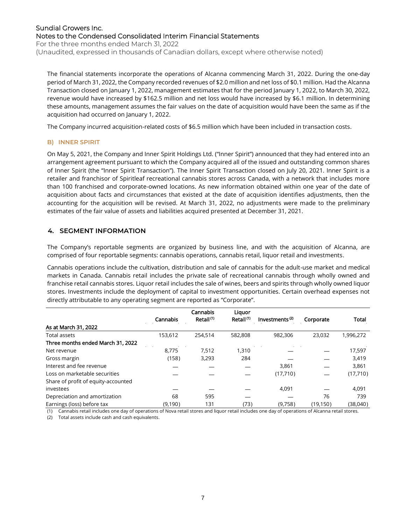For the three months ended March 31, 2022 (Unaudited, expressed in thousands of Canadian dollars, except where otherwise noted)

The financial statements incorporate the operations of Alcanna commencing March 31, 2022. During the one-day period of March 31, 2022, the Company recorded revenues of \$2.0 million and net loss of \$0.1 million. Had the Alcanna Transaction closed on January 1, 2022, management estimates that for the period January 1, 2022, to March 30, 2022, revenue would have increased by \$162.5 million and net loss would have increased by \$6.1 million. In determining these amounts, management assumes the fair values on the date of acquisition would have been the same as if the acquisition had occurred on January 1, 2022.

The Company incurred acquisition-related costs of \$6.5 million which have been included in transaction costs.

## **B) INNER SPIRIT**

On May 5, 2021, the Company and Inner Spirit Holdings Ltd. ("Inner Spirit") announced that they had entered into an arrangement agreement pursuant to which the Company acquired all of the issued and outstanding common shares of Inner Spirit (the "Inner Spirit Transaction"). The Inner Spirit Transaction closed on July 20, 2021. Inner Spirit is a retailer and franchisor of Spiritleaf recreational cannabis stores across Canada, with a network that includes more than 100 franchised and corporate-owned locations. As new information obtained within one year of the date of acquisition about facts and circumstances that existed at the date of acquisition identifies adjustments, then the accounting for the acquisition will be revised. At March 31, 2022, no adjustments were made to the preliminary estimates of the fair value of assets and liabilities acquired presented at December 31, 2021.

## **4. SEGMENT INFORMATION**

The Company's reportable segments are organized by business line, and with the acquisition of Alcanna, are comprised of four reportable segments: cannabis operations, cannabis retail, liquor retail and investments.

Cannabis operations include the cultivation, distribution and sale of cannabis for the adult-use market and medical markets in Canada. Cannabis retail includes the private sale of recreational cannabis through wholly owned and franchise retail cannabis stores. Liquor retail includes the sale of wines, beers and spirits through wholly owned liquor stores. Investments include the deployment of capital to investment opportunities. Certain overhead expenses not directly attributable to any operating segment are reported as "Corporate".

|                                     |          | Cannabis              | Liquor                |                            |           |              |
|-------------------------------------|----------|-----------------------|-----------------------|----------------------------|-----------|--------------|
|                                     | Cannabis | Retail <sup>(1)</sup> | Retail <sup>(1)</sup> | Investments <sup>(2)</sup> | Corporate | <b>Total</b> |
| As at March 31, 2022                |          |                       |                       |                            |           |              |
| <b>Total assets</b>                 | 153.612  | 254.514               | 582,808               | 982.306                    | 23.032    | 1,996,272    |
| Three months ended March 31, 2022   |          |                       |                       |                            |           |              |
| Net revenue                         | 8.775    | 7,512                 | 1.310                 |                            |           | 17,597       |
| Gross margin                        | (158)    | 3,293                 | 284                   |                            |           | 3,419        |
| Interest and fee revenue            |          |                       |                       | 3,861                      |           | 3,861        |
| Loss on marketable securities       |          |                       |                       | (17,710)                   |           | (17,710)     |
| Share of profit of equity-accounted |          |                       |                       |                            |           |              |
| investees                           |          |                       |                       | 4,091                      |           | 4,091        |
| Depreciation and amortization       | 68       | 595                   |                       |                            | 76        | 739          |
| Earnings (loss) before tax          | (9,190)  | 131                   | (73)                  | (9,758)                    | (19, 150) | (38,040)     |

(1) Cannabis retail includes one day of operations of Nova retail stores and liquor retail includes one day of operations of Alcanna retail stores. (2) Total assets include cash and cash equivalents.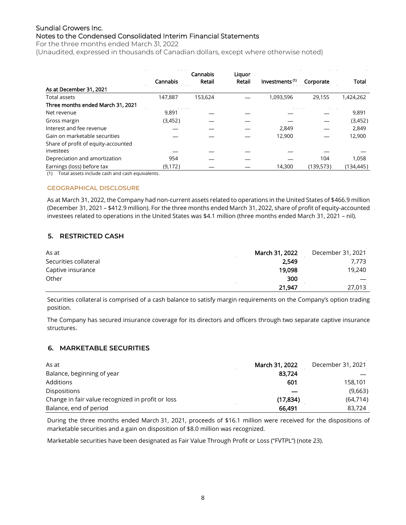For the three months ended March 31, 2022

(Unaudited, expressed in thousands of Canadian dollars, except where otherwise noted)

|                                     |          | Cannabis | Liquor |                            |           |              |
|-------------------------------------|----------|----------|--------|----------------------------|-----------|--------------|
|                                     | Cannabis | Retail   | Retail | Investments <sup>(1)</sup> | Corporate | <b>Total</b> |
| As at December 31, 2021             |          |          |        |                            |           |              |
| <b>Total assets</b>                 | 147.887  | 153.624  |        | 1,093,596                  | 29.155    | 1,424,262    |
| Three months ended March 31, 2021   |          |          |        |                            |           |              |
| Net revenue                         | 9,891    |          |        |                            |           | 9,891        |
| Gross margin                        | (3,452)  |          |        |                            |           | (3,452)      |
| Interest and fee revenue            |          |          |        | 2,849                      |           | 2,849        |
| Gain on marketable securities       |          |          |        | 12,900                     |           | 12,900       |
| Share of profit of equity-accounted |          |          |        |                            |           |              |
| investees                           |          |          |        |                            |           |              |
| Depreciation and amortization       | 954      |          |        |                            | 104       | 1,058        |
| Earnings (loss) before tax          | (9, 172) |          |        | 14,300                     | (139,573) | (134, 445)   |

(1) Total assets include cash and cash equivalents.

## **GEOGRAPHICAL DISCLOSURE**

As at March 31, 2022, the Company had non-current assets related to operations in the United States of \$466.9 million (December 31, 2021 – \$412.9 million). For the three months ended March 31, 2022, share of profit of equity-accounted investees related to operations in the United States was \$4.1 million (three months ended March 31, 2021 – nil).

## **5. RESTRICTED CASH**

| As at                 | March 31, 2022 | December 31, 2021 |
|-----------------------|----------------|-------------------|
| Securities collateral | 2,549          | 7.773             |
| Captive insurance     | 19,098         | 19,240            |
| Other                 | 300            |                   |
|                       | 21,947         | 27,013            |

Securities collateral is comprised of a cash balance to satisfy margin requirements on the Company's option trading position.

The Company has secured insurance coverage for its directors and officers through two separate captive insurance structures.

## **6. MARKETABLE SECURITIES**

| As at                                             | March 31, 2022 | December 31, 2021 |
|---------------------------------------------------|----------------|-------------------|
| Balance, beginning of year                        | 83,724         |                   |
| Additions                                         | 601            | 158,101           |
| <b>Dispositions</b>                               |                | (9,663)           |
| Change in fair value recognized in profit or loss | (17, 834)      | (64, 714)         |
| Balance, end of period                            | 66.491         | 83.724            |

During the three months ended March 31, 2021, proceeds of \$16.1 million were received for the dispositions of marketable securities and a gain on disposition of \$8.0 million was recognized.

Marketable securities have been designated as Fair Value Through Profit or Loss ("FVTPL") (note 23).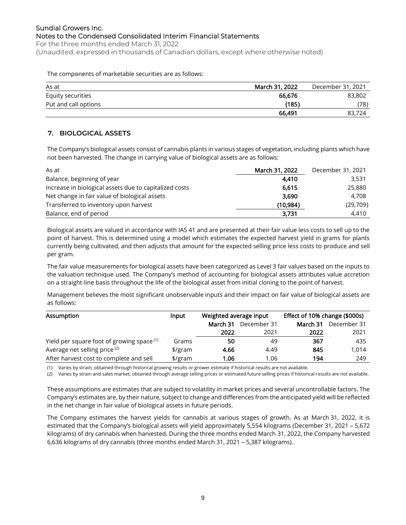#### Sundial Growers Inc. Notes to the Condensed Consolidated Interim Financial Statements For the three months ended March 31, 2022

(Unaudited, expressed in thousands of Canadian dollars, except where otherwise noted)

#### The components of marketable securities are as follows:

| As at                | March 31, 2022 | December 31, 2021 |
|----------------------|----------------|-------------------|
| Equity securities    | 66.676         | 83,802            |
| Put and call options | (185)          | (78)              |
|                      | 66,491         | 83,724            |

## **7. BIOLOGICAL ASSETS**

The Company's biological assets consist of cannabis plants in various stages of vegetation, including plants which have not been harvested. The change in carrying value of biological assets are as follows:

| As at                                                  | March 31, 2022 | December 31, 2021 |
|--------------------------------------------------------|----------------|-------------------|
| Balance, beginning of year                             | 4,410          | 3,531             |
| Increase in biological assets due to capitalized costs | 6.615          | 25,880            |
| Net change in fair value of biological assets          | 3,690          | 4.708             |
| Transferred to inventory upon harvest                  | (10.984)       | (29,709)          |
| Balance, end of period                                 | 3,731          | 4,410             |

Biological assets are valued in accordance with IAS 41 and are presented at their fair value less costs to sell up to the point of harvest. This is determined using a model which estimates the expected harvest yield in grams for plants currently being cultivated, and then adjusts that amount for the expected selling price less costs to produce and sell per gram.

The fair value measurements for biological assets have been categorized as Level 3 fair values based on the inputs to the valuation technique used. The Company's method of accounting for biological assets attributes value accretion on a straight-line basis throughout the life of the biological asset from initial cloning to the point of harvest.

Management believes the most significant unobservable inputs and their impact on fair value of biological assets are as follows:

| Assumption                                 | Input               | Weighted average input  |      | Effect of 10% change (\$000s) |             |
|--------------------------------------------|---------------------|-------------------------|------|-------------------------------|-------------|
|                                            |                     | December 31<br>March 31 |      | March 31                      | December 31 |
|                                            |                     | 2022                    | 2021 | 2022                          | 2021        |
| Yield per square foot of growing space (1) | Grams               | 50                      | 49   | 367                           | 435         |
| Average net selling price <sup>(2)</sup>   | $\frac{1}{2}$ /gram | 4.66                    | 4.49 | 845                           | 1.014       |
| After harvest cost to complete and sell    | $\frac{1}{2}$ /gram | 1.06                    | 1.06 | 194                           | 249         |

(1) Varies by strain; obtained through historical growing results or grower estimate if historical results are not available.

(2) Varies by strain and sales market; obtained through average selling prices or estimated future selling prices if historical results are not available.

These assumptions are estimates that are subject to volatility in market prices and several uncontrollable factors. The Company's estimates are, by their nature, subject to change and differences from the anticipated yield will be reflected in the net change in fair value of biological assets in future periods.

The Company estimates the harvest yields for cannabis at various stages of growth. As at March 31, 2022, it is estimated that the Company's biological assets will yield approximately 5,554 kilograms (December 31, 2021 – 5,672 kilograms) of dry cannabis when harvested. During the three months ended March 31, 2022, the Company harvested 6,636 kilograms of dry cannabis (three months ended March 31, 2021 – 5,387 kilograms).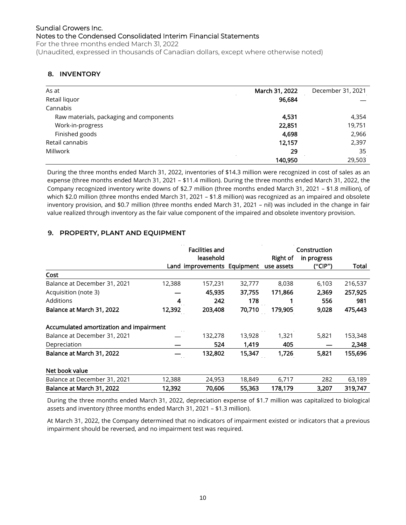## **8. INVENTORY**

| As at                                   | March 31, 2022 | December 31, 2021 |
|-----------------------------------------|----------------|-------------------|
| Retail liquor                           | 96,684         |                   |
| Cannabis                                |                |                   |
| Raw materials, packaging and components | 4,531          | 4,354             |
| Work-in-progress                        | 22,851         | 19,751            |
| Finished goods                          | 4,698          | 2,966             |
| Retail cannabis                         | 12,157         | 2,397             |
| Millwork                                | 29             | 35                |
|                                         | 140,950        | 29,503            |

During the three months ended March 31, 2022, inventories of \$14.3 million were recognized in cost of sales as an expense (three months ended March 31, 2021 – \$11.4 million). During the three months ended March 31, 2022, the Company recognized inventory write downs of \$2.7 million (three months ended March 31, 2021 – \$1.8 million), of which \$2.0 million (three months ended March 31, 2021 – \$1.8 million) was recognized as an impaired and obsolete inventory provision, and \$0.7 million (three months ended March 31, 2021 – nil) was included in the change in fair value realized through inventory as the fair value component of the impaired and obsolete inventory provision.

## **9. PROPERTY, PLANT AND EQUIPMENT**

|                                         |        | <b>Facilities and</b>                  |        |          | Construction |         |
|-----------------------------------------|--------|----------------------------------------|--------|----------|--------------|---------|
|                                         |        | leasehold                              |        | Right of | in progress  |         |
|                                         |        | Land improvements Equipment use assets |        |          | ("CIP")      | Total   |
| Cost                                    |        |                                        |        |          |              |         |
| Balance at December 31, 2021            | 12,388 | 157,231                                | 32,777 | 8,038    | 6,103        | 216,537 |
| Acquisition (note 3)                    |        | 45,935                                 | 37,755 | 171.866  | 2,369        | 257,925 |
| Additions                               | 4      | 242                                    | 178    |          | 556          | 981     |
| Balance at March 31, 2022               | 12,392 | 203,408                                | 70,710 | 179,905  | 9,028        | 475,443 |
| Accumulated amortization and impairment |        |                                        |        |          |              |         |
| Balance at December 31, 2021            |        | 132,278                                | 13,928 | 1,321    | 5,821        | 153,348 |
| Depreciation                            |        | 524                                    | 1,419  | 405      |              | 2,348   |
| Balance at March 31, 2022               |        | 132,802                                | 15,347 | 1,726    | 5,821        | 155,696 |
| Net book value                          |        |                                        |        |          |              |         |
| Balance at December 31, 2021            | 12,388 | 24,953                                 | 18,849 | 6,717    | 282          | 63,189  |
| Balance at March 31, 2022               | 12,392 | 70,606                                 | 55,363 | 178,179  | 3,207        | 319,747 |

During the three months ended March 31, 2022, depreciation expense of \$1.7 million was capitalized to biological assets and inventory (three months ended March 31, 2021 – \$1.3 million).

At March 31, 2022, the Company determined that no indicators of impairment existed or indicators that a previous impairment should be reversed, and no impairment test was required.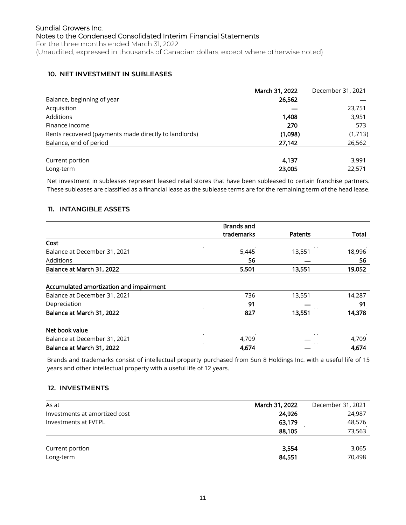## **10. NET INVESTMENT IN SUBLEASES**

|                                                       | March 31, 2022 | December 31, 2021 |
|-------------------------------------------------------|----------------|-------------------|
| Balance, beginning of year                            | 26,562         |                   |
| Acquisition                                           |                | 23,751            |
| <b>Additions</b>                                      | 1,408          | 3,951             |
| Finance income                                        | 270            | 573               |
| Rents recovered (payments made directly to landlords) | (1,098)        | (1,713)           |
| Balance, end of period                                | 27,142         | 26,562            |
| Current portion                                       | 4.137          | 3,991             |
| Long-term                                             | 23,005         | 22,571            |

Net investment in subleases represent leased retail stores that have been subleased to certain franchise partners. These subleases are classified as a financial lease as the sublease terms are for the remaining term of the head lease.

## **11. INTANGIBLE ASSETS**

|                                         | <b>Brands and</b>          |                |              |
|-----------------------------------------|----------------------------|----------------|--------------|
|                                         | trademarks                 | <b>Patents</b> | <b>Total</b> |
| Cost                                    |                            |                |              |
| Balance at December 31, 2021            | 5,445                      | 13,551         | 18,996       |
| Additions                               | 56                         |                | 56           |
| Balance at March 31, 2022               | 5,501                      | 13,551         | 19,052       |
| Accumulated amortization and impairment | $\alpha = \alpha = \alpha$ |                |              |
| Balance at December 31, 2021            | 736                        | 13,551         | 14,287       |
| Depreciation                            | 91                         |                | 91           |
| Balance at March 31, 2022               | 827                        | 13,551         | 14,378       |
| Net book value                          |                            |                |              |
| Balance at December 31, 2021            | 4,709                      |                | 4,709        |
| Balance at March 31, 2022               | 4,674                      |                | 4,674        |

Brands and trademarks consist of intellectual property purchased from Sun 8 Holdings Inc. with a useful life of 15 years and other intellectual property with a useful life of 12 years.

## **12. INVESTMENTS**

| As at                         | March 31, 2022 | December 31, 2021 |
|-------------------------------|----------------|-------------------|
| Investments at amortized cost | 24.926         | 24,987            |
| Investments at FVTPL          | 63,179         | 48,576            |
|                               | 88,105         | 73,563            |
|                               |                |                   |
| Current portion               | 3,554          | 3,065             |
| Long-term                     | 84,551         | 70,498            |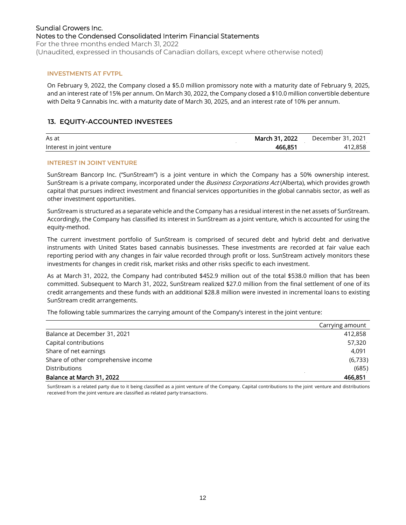## Sundial Growers Inc. Notes to the Condensed Consolidated Interim Financial Statements For the three months ended March 31, 2022

(Unaudited, expressed in thousands of Canadian dollars, except where otherwise noted)

#### **INVESTMENTS AT FVTPL**

On February 9, 2022, the Company closed a \$5.0 million promissory note with a maturity date of February 9, 2025, and an interest rate of 15% per annum. On March 30, 2022, the Company closed a \$10.0 million convertible debenture with Delta 9 Cannabis Inc. with a maturity date of March 30, 2025, and an interest rate of 10% per annum.

## **13. EQUITY-ACCOUNTED INVESTEES**

| As at                     | 2022<br>March 31. | 2021<br>ົ້າ<br>December |
|---------------------------|-------------------|-------------------------|
| Interest in joint venture | 466.851           | 412.858                 |

#### **INTEREST IN JOINT VENTURE**

SunStream Bancorp Inc. ("SunStream") is a joint venture in which the Company has a 50% ownership interest. SunStream is a private company, incorporated under the Business Corporations Act (Alberta), which provides growth capital that pursues indirect investment and financial services opportunities in the global cannabis sector, as well as other investment opportunities.

SunStream is structured as a separate vehicle and the Company has a residual interest in the net assets of SunStream. Accordingly, the Company has classified its interest in SunStream as a joint venture, which is accounted for using the equity-method.

The current investment portfolio of SunStream is comprised of secured debt and hybrid debt and derivative instruments with United States based cannabis businesses. These investments are recorded at fair value each reporting period with any changes in fair value recorded through profit or loss. SunStream actively monitors these investments for changes in credit risk, market risks and other risks specific to each investment.

As at March 31, 2022, the Company had contributed \$452.9 million out of the total \$538.0 million that has been committed. Subsequent to March 31, 2022, SunStream realized \$27.0 million from the final settlement of one of its credit arrangements and these funds with an additional \$28.8 million were invested in incremental loans to existing SunStream credit arrangements.

The following table summarizes the carrying amount of the Company's interest in the joint venture:

|                                     | Carrying amount |
|-------------------------------------|-----------------|
| Balance at December 31, 2021        | 412,858         |
| Capital contributions               | 57,320          |
| Share of net earnings               | 4.091           |
| Share of other comprehensive income | (6,733)         |
| <b>Distributions</b>                | (685)           |
| Balance at March 31, 2022           | 466.851         |

SunStream is a related party due to it being classified as a joint venture of the Company. Capital contributions to the joint venture and distributions received from the joint venture are classified as related party transactions.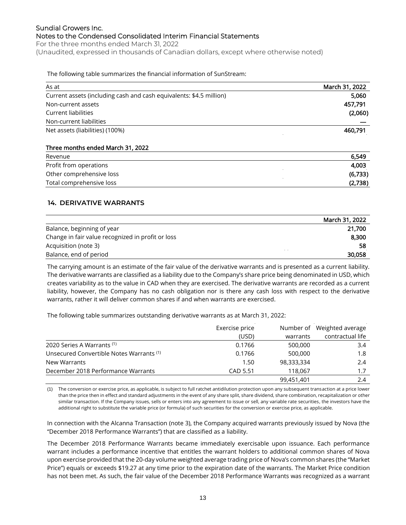## Sundial Growers Inc. Notes to the Condensed Consolidated Interim Financial Statements For the three months ended March 31, 2022

(Unaudited, expressed in thousands of Canadian dollars, except where otherwise noted)

#### The following table summarizes the financial information of SunStream:

| As at                                                               | March 31, 2022 |
|---------------------------------------------------------------------|----------------|
| Current assets (including cash and cash equivalents: \$4.5 million) | 5,060          |
| Non-current assets                                                  | 457,791        |
| Current liabilities                                                 | (2,060)        |
| Non-current liabilities                                             |                |
| Net assets (liabilities) (100%)                                     | 460,791        |
| Three months ended March 31, 2022                                   |                |
| Revenue                                                             | 6,549          |
| Profit from operations                                              | 4,003          |
| Other comprehensive loss                                            | (6, 733)       |
| Total comprehensive loss                                            | (2,738)        |

## **14. DERIVATIVE WARRANTS**

|                                                   | March 31, 2022 |
|---------------------------------------------------|----------------|
| Balance, beginning of year                        | 21,700         |
| Change in fair value recognized in profit or loss | 8,300          |
| Acquisition (note 3)                              | 58             |
| Balance, end of period                            | 30,058         |

The carrying amount is an estimate of the fair value of the derivative warrants and is presented as a current liability. The derivative warrants are classified as a liability due to the Company's share price being denominated in USD, which creates variability as to the value in CAD when they are exercised. The derivative warrants are recorded as a current liability, however, the Company has no cash obligation nor is there any cash loss with respect to the derivative warrants, rather it will deliver common shares if and when warrants are exercised.

The following table summarizes outstanding derivative warrants as at March 31, 2022:

|                                          | Exercise price |            | Number of Weighted average |
|------------------------------------------|----------------|------------|----------------------------|
|                                          | (USD)          | warrants   | contractual life           |
| 2020 Series A Warrants (1)               | 0.1766         | 500,000    | 3.4                        |
| Unsecured Convertible Notes Warrants (1) | 0.1766         | 500,000    | 1.8                        |
| New Warrants                             | 1.50           | 98,333,334 | 2.4                        |
| December 2018 Performance Warrants       | CAD 5.51       | 118.067    | 1.7                        |
|                                          |                | 99,451,401 | 2.4                        |

(1) The conversion or exercise price, as applicable, is subject to full ratchet antidilution protection upon any subsequent transaction at a price lower than the price then in effect and standard adjustments in the event of any share split, share dividend, share combination, recapitalization or other similar transaction. If the Company issues, sells or enters into any agreement to issue or sell, any variable rate securities, the investors have the additional right to substitute the variable price (or formula) of such securities for the conversion or exercise price, as applicable.

In connection with the Alcanna Transaction (note 3), the Company acquired warrants previously issued by Nova (the "December 2018 Performance Warrants") that are classified as a liability.

The December 2018 Performance Warrants became immediately exercisable upon issuance. Each performance warrant includes a performance incentive that entitles the warrant holders to additional common shares of Nova upon exercise provided that the 20-day volume weighted average trading price of Nova's common shares (the "Market Price") equals or exceeds \$19.27 at any time prior to the expiration date of the warrants. The Market Price condition has not been met. As such, the fair value of the December 2018 Performance Warrants was recognized as a warrant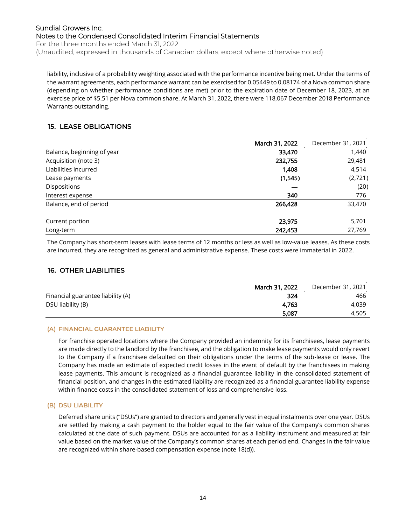For the three months ended March 31, 2022 (Unaudited, expressed in thousands of Canadian dollars, except where otherwise noted)

liability, inclusive of a probability weighting associated with the performance incentive being met. Under the terms of the warrant agreements, each performance warrant can be exercised for 0.05449 to 0.08174 of a Nova common share (depending on whether performance conditions are met) prior to the expiration date of December 18, 2023, at an exercise price of \$5.51 per Nova common share. At March 31, 2022, there were 118,067 December 2018 Performance Warrants outstanding.

## **15. LEASE OBLIGATIONS**

|                            | March 31, 2022 | December 31, 2021 |
|----------------------------|----------------|-------------------|
| Balance, beginning of year | 33,470         | 1,440             |
| Acquisition (note 3)       | 232,755        | 29,481            |
| Liabilities incurred       | 1,408          | 4,514             |
| Lease payments             | (1,545)        | (2,721)           |
| Dispositions               |                | (20)              |
| Interest expense           | 340            | 776               |
| Balance, end of period     | 266,428        | 33,470            |
| Current portion            | 23,975         | 5,701             |
| Long-term                  | 242,453        | 27,769            |

The Company has short-term leases with lease terms of 12 months or less as well as low-value leases. As these costs are incurred, they are recognized as general and administrative expense. These costs were immaterial in 2022.

## **16. OTHER LIABILITIES**

|                                   | March 31, 2022 | December 31, 2021 |
|-----------------------------------|----------------|-------------------|
| Financial guarantee liability (A) | 324            | 466               |
| DSU liability (B)                 | 4.763          | 4.039             |
|                                   | 5.087          | 4.505             |

## **(A) FINANCIAL GUARANTEE LIABILITY**

For franchise operated locations where the Company provided an indemnity for its franchisees, lease payments are made directly to the landlord by the franchisee, and the obligation to make lease payments would only revert to the Company if a franchisee defaulted on their obligations under the terms of the sub-lease or lease. The Company has made an estimate of expected credit losses in the event of default by the franchisees in making lease payments. This amount is recognized as a financial guarantee liability in the consolidated statement of financial position, and changes in the estimated liability are recognized as a financial guarantee liability expense within finance costs in the consolidated statement of loss and comprehensive loss.

## **(B) DSU LIABILITY**

Deferred share units ("DSUs") are granted to directors and generally vest in equal instalments over one year. DSUs are settled by making a cash payment to the holder equal to the fair value of the Company's common shares calculated at the date of such payment. DSUs are accounted for as a liability instrument and measured at fair value based on the market value of the Company's common shares at each period end. Changes in the fair value are recognized within share-based compensation expense (note 18(d)).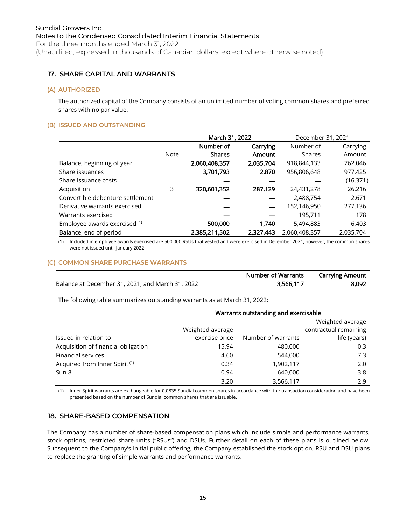#### (Unaudited, expressed in thousands of Canadian dollars, except where otherwise noted)

## **17. SHARE CAPITAL AND WARRANTS**

#### **(A) AUTHORIZED**

The authorized capital of the Company consists of an unlimited number of voting common shares and preferred shares with no par value.

## **(B) ISSUED AND OUTSTANDING**

|                                  |      | March 31, 2022 |           | December 31, 2021 |           |  |
|----------------------------------|------|----------------|-----------|-------------------|-----------|--|
|                                  |      | Number of      | Carrying  | Number of         | Carrying  |  |
|                                  | Note | <b>Shares</b>  | Amount    | Shares            | Amount    |  |
| Balance, beginning of year       |      | 2,060,408,357  | 2,035,704 | 918,844,133       | 762,046   |  |
| Share issuances                  |      | 3,701,793      | 2,870     | 956,806,648       | 977,425   |  |
| Share issuance costs             |      |                |           |                   | (16, 371) |  |
| Acquisition                      | 3    | 320,601,352    | 287,129   | 24,431,278        | 26,216    |  |
| Convertible debenture settlement |      |                |           | 2,488,754         | 2,671     |  |
| Derivative warrants exercised    |      |                |           | 152,146,950       | 277,136   |  |
| Warrants exercised               |      |                |           | 195,711           | 178       |  |
| Employee awards exercised (1)    |      | 500,000        | 1,740     | 5,494,883         | 6,403     |  |
| Balance, end of period           |      | 2,385,211,502  | 2,327,443 | 2,060,408,357     | 2,035,704 |  |

(1) Included in employee awards exercised are 500,000 RSUs that vested and were exercised in December 2021, however, the common shares were not issued until January 2022.

#### **(C) COMMON SHARE PURCHASE WARRANTS**

|                                                  | <b>Number of Warrants</b> | <b>Carrying Amount</b> |
|--------------------------------------------------|---------------------------|------------------------|
| Balance at December 31, 2021, and March 31, 2022 | 3,566,117                 | 8,092                  |

The following table summarizes outstanding warrants as at March 31, 2022:

|                                           |                  | Warrants outstanding and exercisable |                       |
|-------------------------------------------|------------------|--------------------------------------|-----------------------|
|                                           |                  | Weighted average                     |                       |
|                                           | Weighted average |                                      | contractual remaining |
| Issued in relation to                     | exercise price   | Number of warrants                   | life (years)          |
| Acquisition of financial obligation       | 15.94            | 480,000                              | 0.3                   |
| <b>Financial services</b>                 | 4.60             | 544,000                              | 7.3                   |
| Acquired from Inner Spirit <sup>(1)</sup> | 0.34             | 1,902,117                            | 2.0                   |
| Sun 8                                     | 0.94             | 640,000                              | 3.8                   |
|                                           | 3.20             | 3,566,117                            | 2.9                   |

(1) Inner Spirit warrants are exchangeable for 0.0835 Sundial common shares in accordance with the transaction consideration and have been presented based on the number of Sundial common shares that are issuable.

## **18. SHARE-BASED COMPENSATION**

The Company has a number of share-based compensation plans which include simple and performance warrants, stock options, restricted share units ("RSUs") and DSUs. Further detail on each of these plans is outlined below. Subsequent to the Company's initial public offering, the Company established the stock option, RSU and DSU plans to replace the granting of simple warrants and performance warrants.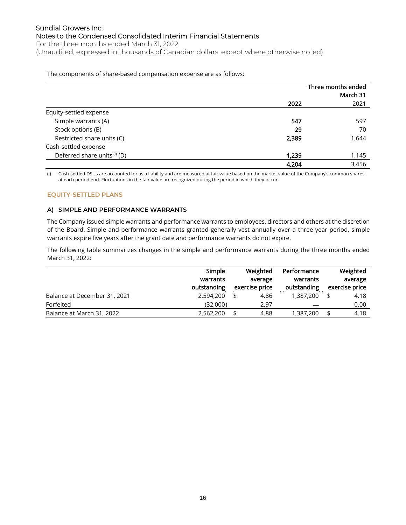For the three months ended March 31, 2022 (Unaudited, expressed in thousands of Canadian dollars, except where otherwise noted)

#### The components of share-based compensation expense are as follows:

|                              |       | Three months ended<br>March 31 |
|------------------------------|-------|--------------------------------|
|                              | 2022  | 2021                           |
| Equity-settled expense       |       |                                |
| Simple warrants (A)          | 547   | 597                            |
| Stock options (B)            | 29    | 70                             |
| Restricted share units (C)   | 2,389 | 1,644                          |
| Cash-settled expense         |       |                                |
| Deferred share units (i) (D) | 1,239 | 1,145                          |
|                              | 4,204 | 3,456                          |

(i) Cash-settled DSUs are accounted for as a liability and are measured at fair value based on the market value of the Company's common shares at each period end. Fluctuations in the fair value are recognized during the period in which they occur.

## **EQUITY-SETTLED PLANS**

## **A) SIMPLE AND PERFORMANCE WARRANTS**

The Company issued simple warrants and performance warrants to employees, directors and others at the discretion of the Board. Simple and performance warrants granted generally vest annually over a three-year period, simple warrants expire five years after the grant date and performance warrants do not expire.

The following table summarizes changes in the simple and performance warrants during the three months ended March 31, 2022:

|                              | Simple<br>warrants<br>outstanding | Weighted<br>average<br>exercise price | Performance<br>warrants<br>outstanding | Weighted<br>average<br>exercise price |
|------------------------------|-----------------------------------|---------------------------------------|----------------------------------------|---------------------------------------|
| Balance at December 31, 2021 | 2,594,200                         | \$<br>4.86                            | 1,387,200                              | 4.18                                  |
| Forfeited                    | (32,000)                          | 2.97                                  |                                        | 0.00                                  |
| Balance at March 31, 2022    | 2,562,200                         | \$<br>4.88                            | 1,387,200                              | 4.18                                  |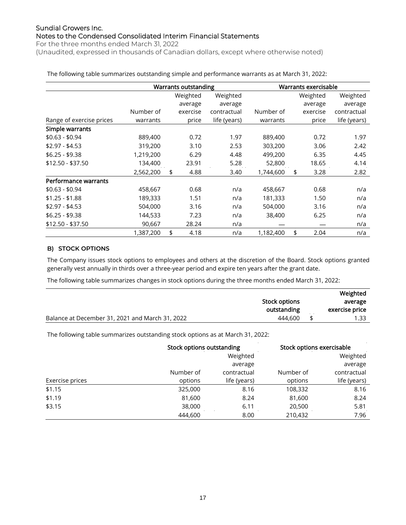For the three months ended March 31, 2022 (Unaudited, expressed in thousands of Canadian dollars, except where otherwise noted)

Warrants outstanding Warrants exercisable Range of exercise prices Number of warrants Weighted average exercise price Weighted average contractual life (years) Number of warrants Weighted average exercise price Weighted average contractual life (years) Simple warrants \$0.63 - \$0.94 889,400 0.72 1.97 889,400 0.72 1.97 \$2.97 - \$4.53 319,200 3.10 2.53 303,200 3.06 2.42 \$6.25 - \$9.38 1,219,200 6.29 4.48 499,200 6.35 4.45 \$12.50 - \$37.50 134,400 23.91 5.28 52,800 18.65 4.14 2,562,200 \$ 4.88 3.40 1,744,600 \$ 3.28 2.82 Performance warrants \$0.63 - \$0.94 458,667 0.68 n/a 458,667 0.68 n/a \$1.25 - \$1.88 189,333 1.51 n/a 181,333 1.50 n/a \$2.97 - \$4.53 504,000 3.16 n/a 504,000 3.16 n/a \$6.25 - \$9.38 144,533 7.23 n/a 38,400 6.25 n/a \$12.50 - \$37.50 90,667 28.24 n/a — — n/a 1,387,200 \$ 4.18 n/a 1,182,400 \$ 2.04 n/a

The following table summarizes outstanding simple and performance warrants as at March 31, 2022:

## **B) STOCK OPTIONS**

The Company issues stock options to employees and others at the discretion of the Board. Stock options granted generally vest annually in thirds over a three-year period and expire ten years after the grant date.

The following table summarizes changes in stock options during the three months ended March 31, 2022:

|                                                 | Stock options<br>outstanding | Weighted<br>average<br>exercise price |
|-------------------------------------------------|------------------------------|---------------------------------------|
| Balance at December 31, 2021 and March 31, 2022 | 444.600                      | 1.33                                  |

The following table summarizes outstanding stock options as at March 31, 2022:

|                 |           | Stock options outstanding |           | Stock options exercisable |
|-----------------|-----------|---------------------------|-----------|---------------------------|
|                 |           | Weighted                  |           | Weighted                  |
|                 |           | average                   |           | average                   |
|                 | Number of | contractual               | Number of | contractual               |
| Exercise prices | options   | life (years)              | options   | life (years)              |
| \$1.15          | 325,000   | 8.16                      | 108,332   | 8.16                      |
| \$1.19          | 81,600    | 8.24                      | 81,600    | 8.24                      |
| \$3.15          | 38,000    | 6.11                      | 20,500    | 5.81                      |
|                 | 444,600   | 8.00                      | 210,432   | 7.96                      |
|                 |           |                           |           |                           |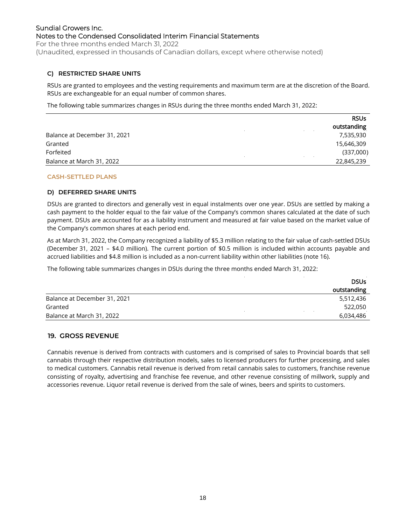For the three months ended March 31, 2022 (Unaudited, expressed in thousands of Canadian dollars, except where otherwise noted)

## **C) RESTRICTED SHARE UNITS**

RSUs are granted to employees and the vesting requirements and maximum term are at the discretion of the Board. RSUs are exchangeable for an equal number of common shares.

The following table summarizes changes in RSUs during the three months ended March 31, 2022:

|                              | <b>RSUs</b> |
|------------------------------|-------------|
|                              | outstanding |
| Balance at December 31, 2021 | 7,535,930   |
| Granted                      | 15,646,309  |
| Forfeited                    | (337,000)   |
| Balance at March 31, 2022    | 22,845,239  |

## **CASH-SETTLED PLANS**

## **D) DEFERRED SHARE UNITS**

DSUs are granted to directors and generally vest in equal instalments over one year. DSUs are settled by making a cash payment to the holder equal to the fair value of the Company's common shares calculated at the date of such payment. DSUs are accounted for as a liability instrument and measured at fair value based on the market value of the Company's common shares at each period end.

As at March 31, 2022, the Company recognized a liability of \$5.3 million relating to the fair value of cash-settled DSUs (December 31, 2021 – \$4.0 million). The current portion of \$0.5 million is included within accounts payable and accrued liabilities and \$4.8 million is included as a non-current liability within other liabilities (note 16).

The following table summarizes changes in DSUs during the three months ended March 31, 2022:

|                              | <b>DSUs</b> |
|------------------------------|-------------|
|                              | outstanding |
| Balance at December 31, 2021 | 5,512,436   |
| Granted                      | 522,050     |
| Balance at March 31, 2022    | 6,034,486   |

#### **19. GROSS REVENUE**

Cannabis revenue is derived from contracts with customers and is comprised of sales to Provincial boards that sell cannabis through their respective distribution models, sales to licensed producers for further processing, and sales to medical customers. Cannabis retail revenue is derived from retail cannabis sales to customers, franchise revenue consisting of royalty, advertising and franchise fee revenue, and other revenue consisting of millwork, supply and accessories revenue. Liquor retail revenue is derived from the sale of wines, beers and spirits to customers.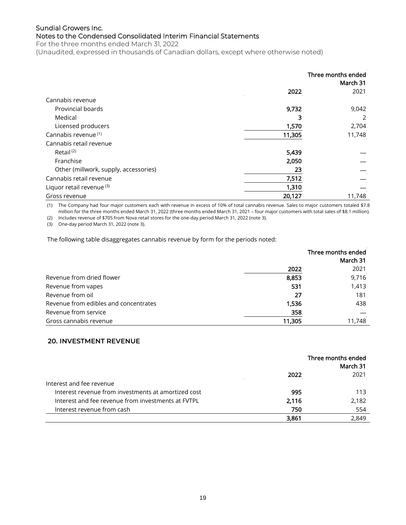For the three months ended March 31, 2022

(Unaudited, expressed in thousands of Canadian dollars, except where otherwise noted)

|                                       |        | Three months ended<br>March 31 |
|---------------------------------------|--------|--------------------------------|
|                                       | 2022   | 2021                           |
| Cannabis revenue                      |        |                                |
| Provincial boards                     | 9,732  | 9,042                          |
| Medical                               | 3      | 2                              |
| Licensed producers                    | 1,570  | 2,704                          |
| Cannabis revenue <sup>(1)</sup>       | 11,305 | 11,748                         |
| Cannabis retail revenue               |        |                                |
| Retail <sup>(2)</sup>                 | 5,439  |                                |
| Franchise                             | 2,050  |                                |
| Other (millwork, supply, accessories) | 23     |                                |
| Cannabis retail revenue               | 7,512  |                                |
| Liquor retail revenue <sup>(3)</sup>  | 1,310  |                                |
| Gross revenue                         | 20,127 | 11,748                         |

(1) The Company had four major customers each with revenue in excess of 10% of total cannabis revenue. Sales to major customers totaled \$7.8 million for the three months ended March 31, 2022 (three months ended March 31, 2021 – four major customers with total sales of \$8.1 million).

(2) Includes revenue of \$705 from Nova retail stores for the one-day period March 31, 2022 (note 3).

(3) One-day period March 31, 2022 (note 3).

The following table disaggregates cannabis revenue by form for the periods noted:

|                                       |       | Three months ended |
|---------------------------------------|-------|--------------------|
|                                       |       | March 31           |
|                                       | 2022  | 2021               |
| Revenue from dried flower             | 8,853 | 9,716              |
| Revenue from vapes                    | 531   | 1,413              |
| Revenue from oil                      | 27    | 181                |
| Revenue from edibles and concentrates | 1,536 | 438                |
| Revenue from service                  | 358   |                    |
| Gross cannabis revenue<br>11,305      |       | 11,748             |

## **20. INVESTMENT REVENUE**

|                                                     | Three months ended<br>March 31 |       |
|-----------------------------------------------------|--------------------------------|-------|
|                                                     | 2022                           | 2021  |
| Interest and fee revenue                            |                                |       |
| Interest revenue from investments at amortized cost | 995                            | 113   |
| Interest and fee revenue from investments at FVTPL  | 2,116                          | 2,182 |
| Interest revenue from cash                          | 750                            | 554   |
|                                                     | 3,861                          | 2,849 |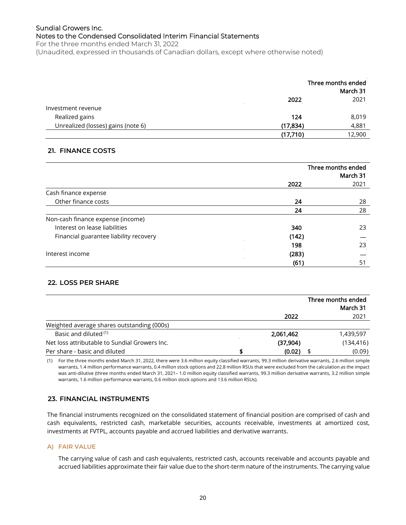For the three months ended March 31, 2022 (Unaudited, expressed in thousands of Canadian dollars, except where otherwise noted)

|                                    |           | Three months ended<br>March 31 |
|------------------------------------|-----------|--------------------------------|
|                                    | 2022      | 2021                           |
| Investment revenue                 |           |                                |
| Realized gains                     | 124       | 8,019                          |
| Unrealized (losses) gains (note 6) | (17, 834) | 4,881                          |
|                                    | (17,710)  | 12,900                         |

## **21. FINANCE COSTS**

|                                        | Three months ended<br>March 31 |      |
|----------------------------------------|--------------------------------|------|
|                                        | 2022                           | 2021 |
| Cash finance expense                   |                                |      |
| Other finance costs                    | 24                             | 28   |
|                                        | 24                             | 28   |
| Non-cash finance expense (income)      |                                |      |
| Interest on lease liabilities          | 340                            | 23   |
| Financial guarantee liability recovery | (142)                          |      |
|                                        | 198                            | 23   |
| Interest income                        | (283)                          |      |
|                                        | (61)                           | 51   |

## **22. LOSS PER SHARE**

|                                               |           | Three months ended |
|-----------------------------------------------|-----------|--------------------|
|                                               |           | March 31           |
|                                               | 2022      | 2021               |
| Weighted average shares outstanding (000s)    |           |                    |
| Basic and diluted (1)                         | 2,061,462 | 1,439,597          |
| Net loss attributable to Sundial Growers Inc. | (37,904)  | (134, 416)         |
| Per share - basic and diluted                 | (0.02)    | (0.09)             |

(1) For the three months ended March 31, 2022, there were 3.6 million equity classified warrants, 99.3 million derivative warrants, 2.6 million simple warrants, 1.4 million performance warrants, 0.4 million stock options and 22.8 million RSUs that were excluded from the calculation as the impact was anti-dilutive (three months ended March 31, 2021– 1.0 million equity classified warrants, 99.3 million derivative warrants, 3.2 million simple warrants, 1.6 million performance warrants, 0.6 million stock options and 13.6 million RSUs).

## **23. FINANCIAL INSTRUMENTS**

The financial instruments recognized on the consolidated statement of financial position are comprised of cash and cash equivalents, restricted cash, marketable securities, accounts receivable, investments at amortized cost, investments at FVTPL, accounts payable and accrued liabilities and derivative warrants.

## **A) FAIR VALUE**

The carrying value of cash and cash equivalents, restricted cash, accounts receivable and accounts payable and accrued liabilities approximate their fair value due to the short-term nature of the instruments. The carrying value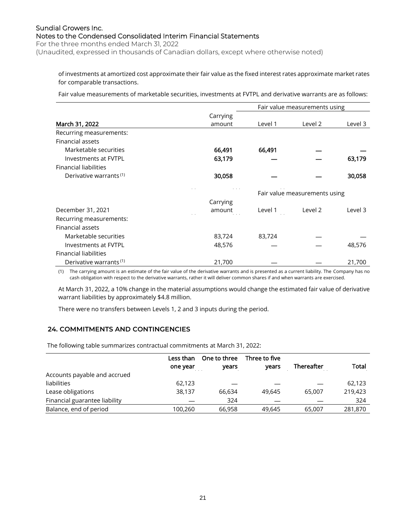For the three months ended March 31, 2022

(Unaudited, expressed in thousands of Canadian dollars, except where otherwise noted)

of investments at amortized cost approximate their fair value as the fixed interest rates approximate market rates for comparable transactions.

Fair value measurements of marketable securities, investments at FVTPL and derivative warrants are as follows:

|                                    |          | Fair value measurements using |         |         |
|------------------------------------|----------|-------------------------------|---------|---------|
|                                    | Carrying |                               |         |         |
| March 31, 2022                     | amount   | Level 1                       | Level 2 | Level 3 |
| Recurring measurements:            |          |                               |         |         |
| Financial assets                   |          |                               |         |         |
| Marketable securities              | 66,491   | 66,491                        |         |         |
| Investments at FVTPL               | 63,179   |                               |         | 63,179  |
| <b>Financial liabilities</b>       |          |                               |         |         |
| Derivative warrants <sup>(1)</sup> | 30,058   |                               |         | 30,058  |
|                                    |          | Fair value measurements using |         |         |
|                                    | Carrying |                               |         |         |
| December 31, 2021                  | amount   | Level 1                       | Level 2 | Level 3 |
| Recurring measurements:            |          |                               |         |         |
| Financial assets                   |          |                               |         |         |
| Marketable securities              | 83,724   | 83,724                        |         |         |
| Investments at FVTPL               | 48,576   |                               |         | 48,576  |
| <b>Financial liabilities</b>       |          |                               |         |         |
| Derivative warrants <sup>(1)</sup> | 21,700   |                               |         | 21,700  |

(1) The carrying amount is an estimate of the fair value of the derivative warrants and is presented as a current liability. The Company has no cash obligation with respect to the derivative warrants, rather it will deliver common shares if and when warrants are exercised.

At March 31, 2022, a 10% change in the material assumptions would change the estimated fair value of derivative warrant liabilities by approximately \$4.8 million.

There were no transfers between Levels 1, 2 and 3 inputs during the period.

## **24. COMMITMENTS AND CONTINGENCIES**

The following table summarizes contractual commitments at March 31, 2022:

|                               | Less than | One to three         | Three to five  |                               |         |
|-------------------------------|-----------|----------------------|----------------|-------------------------------|---------|
|                               | one year  | years                | vears          | Thereafter                    | Total   |
| Accounts payable and accrued  |           |                      |                |                               |         |
| liabilities                   | 62,123    |                      |                |                               | 62,123  |
| Lease obligations             | 38,137    | 66.634               | 49.645         | 65,007                        | 219,423 |
| Financial guarantee liability |           | 324<br>$\sim$ $\sim$ | <b>Service</b> | $\mathbf{a}$ and $\mathbf{a}$ | 324     |
| Balance, end of period        | 100.260   | 66.958               | 49,645         | 65,007                        | 281,870 |